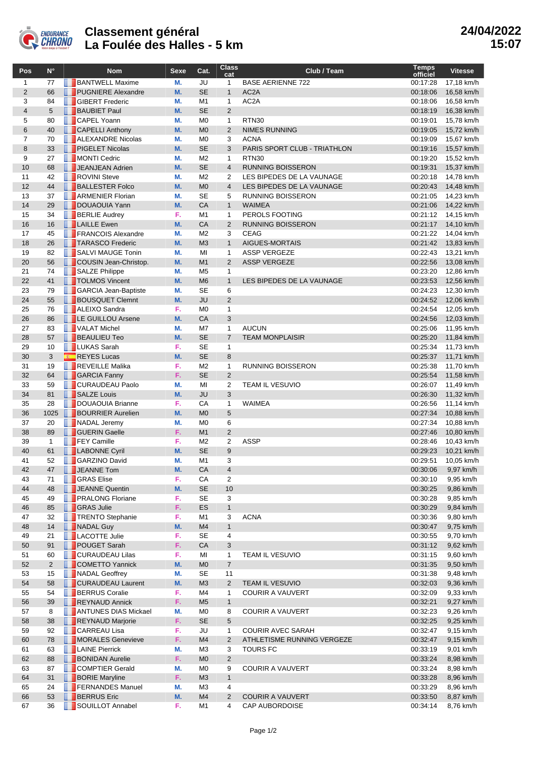

## **Classement général La Foulée des Halles - 5 km**

| Pos            | $N^{\circ}$    | <b>Nom</b>                               | Sexe      | Cat.                         | <b>Class</b><br>cat          | Club / Team                     | <b>Temps</b><br>officiel | <b>Vitesse</b>           |
|----------------|----------------|------------------------------------------|-----------|------------------------------|------------------------------|---------------------------------|--------------------------|--------------------------|
| $\mathbf{1}$   | 77             | <b>BANTWELL Maxime</b>                   | М.        | JU                           | $\mathbf{1}$                 | <b>BASE AERIENNE 722</b>        | 00:17:28                 | 17,18 km/h               |
| $\overline{2}$ | 66             | <b>PUGNIERE</b> Alexandre                | M.        | <b>SE</b>                    | $\mathbf{1}$                 | AC <sub>2</sub> A               | 00:18:06                 | 16,58 km/h               |
| 3              | 84             | <b>SIBERT Frederic</b>                   | М.        | M <sub>1</sub>               | $\mathbf{1}$                 | AC <sub>2</sub> A               | 00:18:06                 | 16,58 km/h               |
| $\overline{4}$ | 5              | <b>BAUBIET Paul</b>                      | M.        | <b>SE</b>                    | $\overline{2}$               |                                 | 00:18:19                 | 16,38 km/h               |
| 5              | 80             | <b>CAPEL Yoann</b>                       | М.        | M <sub>0</sub>               | $\mathbf{1}$                 | RTN30                           | 00:19:01                 | 15,78 km/h               |
| 6              | 40             | <b>CAPELLI Anthony</b>                   | M.        | M <sub>0</sub>               | 2                            | <b>NIMES RUNNING</b>            | 00:19:05                 | 15,72 km/h               |
| $\overline{7}$ | 70             | <b>ALEXANDRE Nicolas</b>                 | М.        | M <sub>0</sub>               | 3                            | <b>ACNA</b>                     | 00:19:09                 | 15,67 km/h               |
| 8              | 33             | PIGELET Nicolas                          | <b>M.</b> | <b>SE</b>                    | 3                            | PARIS SPORT CLUB - TRIATHLON    | 00:19:16                 | 15,57 km/h               |
| 9              | 27             | MONTI Cedric                             | М.        | M <sub>2</sub>               | $\mathbf{1}$                 | RTN30                           | 00:19:20                 | 15,52 km/h               |
| 10             | 68             | JEANJEAN Adrien                          | M.        | <b>SE</b>                    | $\overline{4}$               | <b>RUNNING BOISSERON</b>        | 00:19:31                 | 15,37 km/h               |
| 11             | 42             | ROVINI Steve                             | М.        | M <sub>2</sub>               | 2                            | LES BIPEDES DE LA VAUNAGE       | 00:20:18                 | 14,78 km/h               |
| 12             | 44             | <b>BALLESTER Folco</b>                   | M.        | M <sub>0</sub>               | $\overline{4}$               | LES BIPEDES DE LA VAUNAGE       | 00:20:43                 | 14,48 km/h               |
| 13             | 37             | <b>ARMENIER Florian</b>                  | М.        | SE                           | 5                            | RUNNING BOISSERON               | 00:21:05                 | 14,23 km/h               |
| 14<br>15       | 29             | DOUAOUIA Yann<br><b>BERLIE Audrey</b>    | M.<br>F.  | ${\sf CA}$<br>M <sub>1</sub> | $\mathbf{1}$<br>$\mathbf{1}$ | <b>WAIMEA</b><br>PEROLS FOOTING | 00:21:06<br>00:21:12     | 14,22 km/h<br>14,15 km/h |
| 16             | 34<br>16       | <b>LAILLE</b> Ewen                       | M.        | CA                           | 2                            | <b>RUNNING BOISSERON</b>        | 00:21:17                 | 14,10 km/h               |
| 17             | 45             | <b>FRANCOIS Alexandre</b>                | М.        | M <sub>2</sub>               | 3                            | <b>CEAG</b>                     | 00:21:22                 | 14,04 km/h               |
| 18             | 26             | <b>TARASCO</b> Frederic                  | M.        | M3                           | $\mathbf{1}$                 | AIGUES-MORTAIS                  | 00:21:42                 | 13,83 km/h               |
| 19             | 82             | SALVI MAUGE Tonin                        | М.        | MI                           | $\mathbf{1}$                 | <b>ASSP VERGEZE</b>             | 00:22:43                 | 13,21 km/h               |
| 20             | 56             | COUSIN Jean-Christop.                    | M.        | M1                           | 2                            | <b>ASSP VERGEZE</b>             | 00:22:56                 | 13,08 km/h               |
| 21             | 74             | SALZE Philippe                           | М.        | M <sub>5</sub>               | $\mathbf{1}$                 |                                 | 00:23:20                 | 12,86 km/h               |
| 22             | 41             | TOLMOS Vincent                           | M.        | M <sub>6</sub>               | $\mathbf{1}$                 | LES BIPEDES DE LA VAUNAGE       | 00:23:53                 | 12,56 km/h               |
| 23             | 79             | GARCIA Jean-Baptiste                     | М.        | SE                           | 6                            |                                 | 00:24:23                 | 12,30 km/h               |
| 24             | 55             | <b>BOUSQUET Clemnt</b>                   | M.        | JU                           | 2                            |                                 | 00:24:52                 | 12,06 km/h               |
| 25             | 76             | <b>ALEIXO Sandra</b>                     | F.        | M0                           | $\mathbf{1}$                 |                                 | 00:24:54                 | 12,05 km/h               |
| 26             | 86             | LE GUILLOU Arsene                        | M.        | ${\sf CA}$                   | 3                            |                                 | 00:24:56                 | 12,03 km/h               |
| 27             | 83             | VALAT Michel                             | М.        | M7                           | $\mathbf{1}$                 | <b>AUCUN</b>                    | 00:25:06                 | 11,95 km/h               |
| 28             | 57             | <b>BEAULIEU Teo</b>                      | M.        | <b>SE</b>                    | $\overline{7}$               | <b>TEAM MONPLAISIR</b>          | 00:25:20                 | 11,84 km/h               |
| 29             | 10             | <b>LUKAS</b> Sarah                       | F.        | SE                           | $\mathbf{1}$                 |                                 | 00:25:34                 | 11,73 km/h               |
| 30             | 3              | <b>REYES</b> Lucas                       | M.        | <b>SE</b>                    | 8                            |                                 | 00:25:37                 | 11,71 km/h               |
| 31             | 19             | REVEILLE Malika                          | F.        | M <sub>2</sub>               | $\mathbf{1}$                 | RUNNING BOISSERON               | 00:25:38                 | 11,70 km/h               |
| 32             | 64             | <b>GARCIA Fanny</b>                      | F.        | <b>SE</b>                    | $\overline{2}$               |                                 | 00:25:54                 | 11,58 km/h               |
| 33             | 59             | CURAUDEAU Paolo                          | М.        | MI                           | 2                            | <b>TEAM IL VESUVIO</b>          | 00:26:07                 | 11,49 km/h               |
| 34             | 81             | SALZE Louis                              | M.        | JU                           | 3                            |                                 | 00:26:30                 | 11,32 km/h               |
| 35             | 28             | DOUAOUIA Brianne                         | F.        | CA                           | $\mathbf{1}$                 | <b>WAIMEA</b>                   | 00:26:56                 | 11,14 km/h               |
| 36<br>37       | 1025<br>20     | <b>BOURRIER Aurelien</b><br>NADAL Jeremy | M.<br>М.  | M <sub>0</sub><br>M0         | 5<br>6                       |                                 | 00:27:34<br>00:27:34     | 10,88 km/h               |
| 38             | 89             | <b>GUERIN Gaelle</b>                     | F.        | M1                           | 2                            |                                 | 00:27:46                 | 10,88 km/h<br>10,80 km/h |
| 39             | $\mathbf{1}$   | FEY Camille                              | F.        | M <sub>2</sub>               | 2                            | <b>ASSP</b>                     | 00:28:46                 | 10,43 km/h               |
| 40             | 61             | <b>LABONNE</b> Cyril                     | M.        | <b>SE</b>                    | 9                            |                                 | 00:29:23                 | 10,21 km/h               |
| 41             | 52             | <b>GARZINO David</b>                     | М.        | M1                           | 3                            |                                 | 00:29:51                 | 10,05 km/h               |
| 42             | 47             | $\Box$ JEANNE Tom                        | M.        | CА                           | 4                            |                                 | 00:30:06                 | 9,97 km/h                |
| 43             | 71             | <b>F</b> GRAS Elise                      | F.        | CA                           | 2                            |                                 | 00:30:10                 | 9,95 km/h                |
| 44             | 48             | JEANNE Quentin                           | M.        | SE                           | 10                           |                                 | 00:30:25                 | 9,86 km/h                |
| 45             | 49             | <b>FRALONG Floriane</b>                  | F.        | <b>SE</b>                    | 3                            |                                 | 00:30:28                 | 9,85 km/h                |
| 46             | 85             | <b>GRAS Julie</b>                        | F.        | ES                           | $\mathbf{1}$                 |                                 | 00:30:29                 | 9,84 km/h                |
| 47             | 32             | TRENTO Stephanie                         | F.        | M1                           | 3                            | <b>ACNA</b>                     | 00:30:36                 | 9,80 km/h                |
| 48             | 14             | NADAL Guy                                | M.        | M4                           | $\mathbf{1}$                 |                                 | 00:30:47                 | 9,75 km/h                |
| 49             | 21             | <b>LACOTTE Julie</b>                     | F.        | SE                           | 4                            |                                 | 00:30:55                 | 9,70 km/h                |
| 50             | 91             | POUGET Sarah                             | F.        | CA                           | 3                            |                                 | 00:31:12                 | 9,62 km/h                |
| 51             | 60             | <b>CURAUDEAU Lilas</b>                   | F.        | MI                           | $\mathbf{1}$                 | TEAM IL VESUVIO                 | 00:31:15                 | 9,60 km/h                |
| 52             | $\overline{2}$ | COMETTO Yannick                          | M.        | M <sub>0</sub>               | $\overline{7}$               |                                 | 00:31:35                 | 9,50 km/h                |
| 53             | 15             | NADAL Geoffrey                           | М.        | SE                           | 11                           |                                 | 00:31:38                 | 9,48 km/h                |
| 54             | 58             | CURAUDEAU Laurent                        | M.        | M3                           | $\overline{2}$               | TEAM IL VESUVIO                 | 00:32:03                 | 9,36 km/h                |
| 55             | 54             | <b>BERRUS</b> Coralie                    | F.        | M4                           | $\mathbf{1}$                 | <b>COURIR A VAUVERT</b>         | 00:32:09                 | 9,33 km/h                |
| 56             | 39             | REYNAUD Annick<br>ANTUNES DIAS Mickael   | F.        | M <sub>5</sub>               | $\mathbf{1}$                 |                                 | 00:32:21                 | 9,27 km/h                |
| 57<br>58       | 8              | REYNAUD Marjorie                         | М.<br>F.  | M0<br>SE                     | 8<br>5                       | <b>COURIR A VAUVERT</b>         | 00:32:23                 | 9,26 km/h                |
| 59             | 38<br>92       | <b>CARREAU Lisa</b>                      | F.        | JU                           | $\mathbf{1}$                 | <b>COURIR AVEC SARAH</b>        | 00:32:25<br>00:32:47     | 9,25 km/h<br>9,15 km/h   |
| 60             | 78             | MORALES Genevieve                        | F.        | M <sub>4</sub>               | $\overline{2}$               | ATHLETISME RUNNING VERGEZE      | 00:32:47                 | 9,15 km/h                |
| 61             | 63             | <b>LAINE Pierrick</b>                    | М.        | M3                           | 3                            | TOURS FC                        | 00:33:19                 | 9,01 km/h                |
| 62             | 88             | <b>BONIDAN Aurelie</b>                   | F.        | M <sub>0</sub>               | $\overline{2}$               |                                 | 00:33:24                 | 8,98 km/h                |
| 63             | 87             | COMPTIER Gerald                          | M.        | M0                           | 9                            | <b>COURIR A VAUVERT</b>         | 00:33:24                 | 8,98 km/h                |
| 64             | 31             | <b>BORIE Maryline</b>                    | F.        | M <sub>3</sub>               | $\mathbf{1}$                 |                                 | 00:33:28                 | 8,96 km/h                |
| 65             | 24             | <b>FERNANDES Manuel</b>                  | М.        | M3                           | 4                            |                                 | 00:33:29                 | 8,96 km/h                |
| 66             | 53             | <b>BERRUS</b> Eric                       | M.        | M4                           | $\overline{2}$               | <b>COURIR A VAUVERT</b>         | 00:33:50                 | 8,87 km/h                |
| 67             | 36             | SOUILLOT Annabel                         | F.        | M1                           | 4                            | CAP AUBORDOISE                  | 00:34:14                 | 8,76 km/h                |